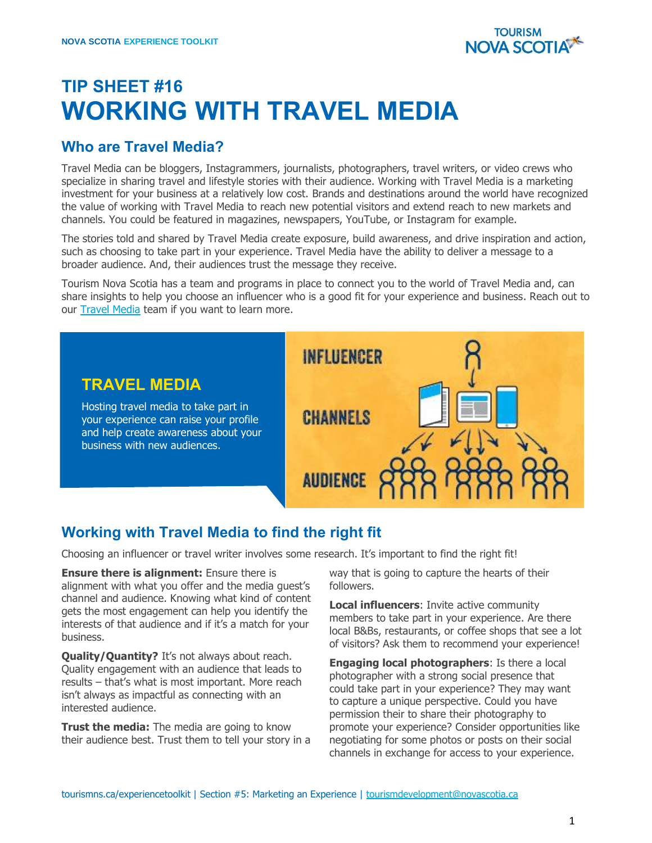

## **TIP SHEET #16 WORKING WITH TRAVEL MEDIA**

## **Who are Travel Media?**

Travel Media can be bloggers, Instagrammers, journalists, photographers, travel writers, or video crews who specialize in sharing travel and lifestyle stories with their audience. Working with Travel Media is a marketing investment for your business at a relatively low cost. Brands and destinations around the world have recognized the value of working with Travel Media to reach new potential visitors and extend reach to new markets and channels. You could be featured in magazines, newspapers, YouTube, or Instagram for example.

The stories told and shared by Travel Media create exposure, build awareness, and drive inspiration and action, such as choosing to take part in your experience. Travel Media have the ability to deliver a message to a broader audience. And, their audiences trust the message they receive.

Tourism Nova Scotia has a team and programs in place to connect you to the world of Travel Media and, can share insights to help you choose an influencer who is a good fit for your experience and business. Reach out to our **Travel Media** team if you want to learn more.



## **Working with Travel Media to find the right fit**

Choosing an influencer or travel writer involves some research. It's important to find the right fit!

**Ensure there is alignment:** Ensure there is alignment with what you offer and the media guest's channel and audience. Knowing what kind of content gets the most engagement can help you identify the interests of that audience and if it's a match for your business.

**Quality/Quantity?** It's not always about reach. Quality engagement with an audience that leads to results – that's what is most important. More reach isn't always as impactful as connecting with an interested audience.

**Trust the media:** The media are going to know their audience best. Trust them to tell your story in a

way that is going to capture the hearts of their followers.

**Local influencers**: Invite active community members to take part in your experience. Are there local B&Bs, restaurants, or coffee shops that see a lot of visitors? Ask them to recommend your experience!

**Engaging local photographers**: Is there a local photographer with a strong social presence that could take part in your experience? They may want to capture a unique perspective. Could you have permission their to share their photography to promote your experience? Consider opportunities like negotiating for some photos or posts on their social channels in exchange for access to your experience.